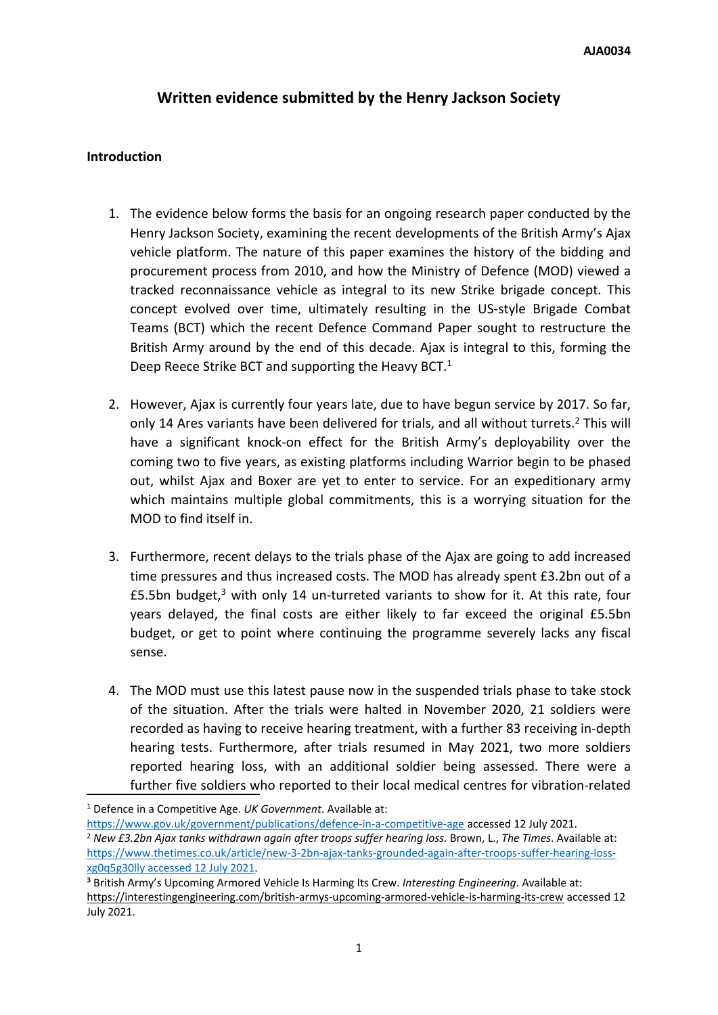# **Written evidence submitted by the Henry Jackson Society**

#### **Introduction**

- 1. The evidence below forms the basis for an ongoing research paper conducted by the Henry Jackson Society, examining the recent developments of the British Army's Ajax vehicle platform. The nature of this paper examines the history of the bidding and procurement process from 2010, and how the Ministry of Defence (MOD) viewed a tracked reconnaissance vehicle as integral to its new Strike brigade concept. This concept evolved over time, ultimately resulting in the US-style Brigade Combat Teams (BCT) which the recent Defence Command Paper sought to restructure the British Army around by the end of this decade. Ajax is integral to this, forming the Deep Reece Strike BCT and supporting the Heavy BCT.<sup>1</sup>
- 2. However, Ajax is currently four years late, due to have begun service by 2017. So far, only 14 Ares variants have been delivered for trials, and all without turrets.<sup>2</sup> This will have a significant knock-on effect for the British Army's deployability over the coming two to five years, as existing platforms including Warrior begin to be phased out, whilst Ajax and Boxer are yet to enter to service. For an expeditionary army which maintains multiple global commitments, this is a worrying situation for the MOD to find itself in.
- 3. Furthermore, recent delays to the trials phase of the Ajax are going to add increased time pressures and thus increased costs. The MOD has already spent £3.2bn out of a £5.5bn budget, $3$  with only 14 un-turreted variants to show for it. At this rate, four years delayed, the final costs are either likely to far exceed the original £5.5bn budget, or get to point where continuing the programme severely lacks any fiscal sense.
- 4. The MOD must use this latest pause now in the suspended trials phase to take stock of the situation. After the trials were halted in November 2020, 21 soldiers were recorded as having to receive hearing treatment, with a further 83 receiving in-depth hearing tests. Furthermore, after trials resumed in May 2021, two more soldiers reported hearing loss, with an additional soldier being assessed. There were a further five soldiers who reported to their local medical centres for vibration-related

<https://www.gov.uk/government/publications/defence-in-a-competitive-age> accessed 12 July 2021. <sup>2</sup> *New £3.2bn Ajax tanks withdrawn again after troops suffer hearing loss.* Brown, L., *The Times*. Available at: [https://www.thetimes.co.uk/article/new-3-2bn-ajax-tanks-grounded-again-after-troops-suffer-hearing-loss](https://www.thetimes.co.uk/article/new-3-2bn-ajax-tanks-grounded-again-after-troops-suffer-hearing-loss-xg0q5g30lly%20accessed%2012%20July%202021)[xg0q5g30lly](https://www.thetimes.co.uk/article/new-3-2bn-ajax-tanks-grounded-again-after-troops-suffer-hearing-loss-xg0q5g30lly%20accessed%2012%20July%202021) [accessed](https://www.thetimes.co.uk/article/new-3-2bn-ajax-tanks-grounded-again-after-troops-suffer-hearing-loss-xg0q5g30lly%20accessed%2012%20July%202021) [12](https://www.thetimes.co.uk/article/new-3-2bn-ajax-tanks-grounded-again-after-troops-suffer-hearing-loss-xg0q5g30lly%20accessed%2012%20July%202021) [July](https://www.thetimes.co.uk/article/new-3-2bn-ajax-tanks-grounded-again-after-troops-suffer-hearing-loss-xg0q5g30lly%20accessed%2012%20July%202021) [2021](https://www.thetimes.co.uk/article/new-3-2bn-ajax-tanks-grounded-again-after-troops-suffer-hearing-loss-xg0q5g30lly%20accessed%2012%20July%202021).

<sup>1</sup> Defence in a Competitive Age. *UK Government*. Available at:

**<sup>3</sup>** British Army's Upcoming Armored Vehicle Is Harming Its Crew. *Interesting Engineering*. Available at: <https://interestingengineering.com/british-armys-upcoming-armored-vehicle-is-harming-its-crew> accessed 12 July 2021.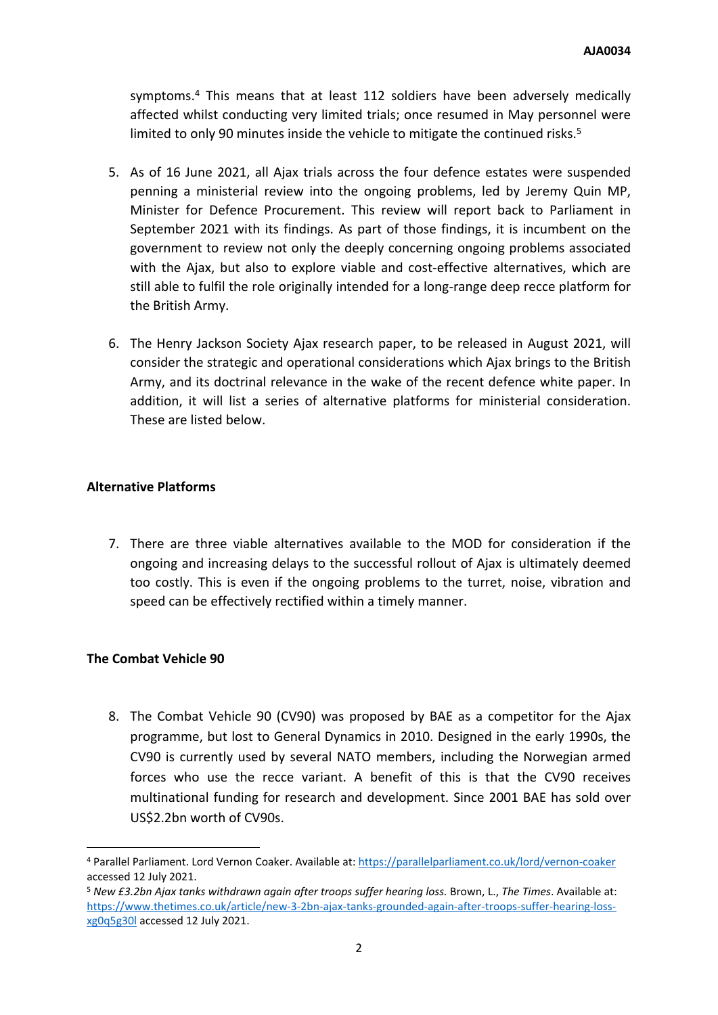symptoms.<sup>4</sup> This means that at least 112 soldiers have been adversely medically affected whilst conducting very limited trials; once resumed in May personnel were limited to only 90 minutes inside the vehicle to mitigate the continued risks.<sup>5</sup>

- 5. As of 16 June 2021, all Ajax trials across the four defence estates were suspended penning a ministerial review into the ongoing problems, led by Jeremy Quin MP, Minister for Defence Procurement. This review will report back to Parliament in September 2021 with its findings. As part of those findings, it is incumbent on the government to review not only the deeply concerning ongoing problems associated with the Ajax, but also to explore viable and cost-effective alternatives, which are still able to fulfil the role originally intended for a long-range deep recce platform for the British Army.
- 6. The Henry Jackson Society Ajax research paper, to be released in August 2021, will consider the strategic and operational considerations which Ajax brings to the British Army, and its doctrinal relevance in the wake of the recent defence white paper. In addition, it will list a series of alternative platforms for ministerial consideration. These are listed below.

## **Alternative Platforms**

7. There are three viable alternatives available to the MOD for consideration if the ongoing and increasing delays to the successful rollout of Ajax is ultimately deemed too costly. This is even if the ongoing problems to the turret, noise, vibration and speed can be effectively rectified within a timely manner.

## **The Combat Vehicle 90**

8. The Combat Vehicle 90 (CV90) was proposed by BAE as a competitor for the Ajax programme, but lost to General Dynamics in 2010. Designed in the early 1990s, the CV90 is currently used by several NATO members, including the Norwegian armed forces who use the recce variant. A benefit of this is that the CV90 receives multinational funding for research and development. Since 2001 BAE has sold over US\$2.2bn worth of CV90s.

<sup>4</sup> Parallel Parliament. Lord Vernon Coaker. Available at: <https://parallelparliament.co.uk/lord/vernon-coaker> accessed 12 July 2021.

<sup>5</sup> *New £3.2bn Ajax tanks withdrawn again after troops suffer hearing loss.* Brown, L., *The Times*. Available at: [https://www.thetimes.co.uk/article/new-3-2bn-ajax-tanks-grounded-again-after-troops-suffer-hearing-loss](https://www.thetimes.co.uk/article/new-3-2bn-ajax-tanks-grounded-again-after-troops-suffer-hearing-loss-xg0q5g30l)[xg0q5g30l](https://www.thetimes.co.uk/article/new-3-2bn-ajax-tanks-grounded-again-after-troops-suffer-hearing-loss-xg0q5g30l) accessed 12 July 2021.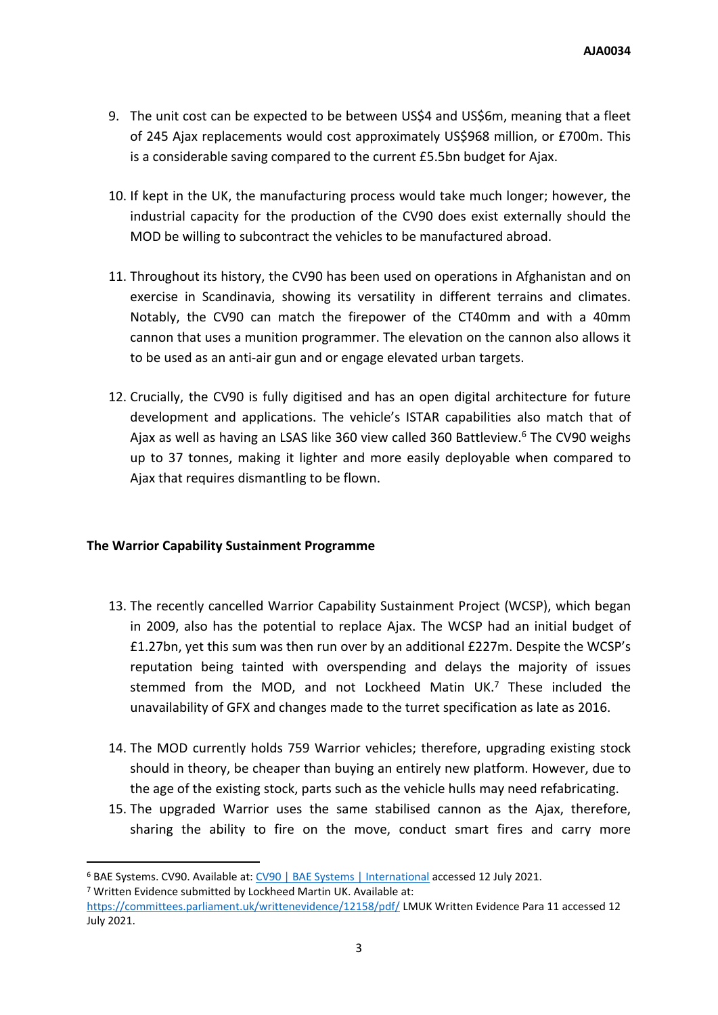- 9. The unit cost can be expected to be between US\$4 and US\$6m, meaning that a fleet of 245 Ajax replacements would cost approximately US\$968 million, or £700m. This is a considerable saving compared to the current £5.5bn budget for Ajax.
- 10. If kept in the UK, the manufacturing process would take much longer; however, the industrial capacity for the production of the CV90 does exist externally should the MOD be willing to subcontract the vehicles to be manufactured abroad.
- 11. Throughout its history, the CV90 has been used on operations in Afghanistan and on exercise in Scandinavia, showing its versatility in different terrains and climates. Notably, the CV90 can match the firepower of the CT40mm and with a 40mm cannon that uses a munition programmer. The elevation on the cannon also allows it to be used as an anti-air gun and or engage elevated urban targets.
- 12. Crucially, the CV90 is fully digitised and has an open digital architecture for future development and applications. The vehicle's ISTAR capabilities also match that of Ajax as well as having an LSAS like 360 view called 360 Battleview.<sup>6</sup> The CV90 weighs up to 37 tonnes, making it lighter and more easily deployable when compared to Ajax that requires dismantling to be flown.

## **The Warrior Capability Sustainment Programme**

- 13. The recently cancelled Warrior Capability Sustainment Project (WCSP), which began in 2009, also has the potential to replace Ajax. The WCSP had an initial budget of £1.27bn, yet this sum was then run over by an additional £227m. Despite the WCSP's reputation being tainted with overspending and delays the majority of issues stemmed from the MOD, and not Lockheed Matin UK.<sup>7</sup> These included the unavailability of GFX and changes made to the turret specification as late as 2016.
- 14. The MOD currently holds 759 Warrior vehicles; therefore, upgrading existing stock should in theory, be cheaper than buying an entirely new platform. However, due to the age of the existing stock, parts such as the vehicle hulls may need refabricating.
- 15. The upgraded Warrior uses the same stabilised cannon as the Ajax, therefore, sharing the ability to fire on the move, conduct smart fires and carry more

<sup>7</sup> Written Evidence submitted by Lockheed Martin UK. Available at:

<sup>&</sup>lt;sup>6</sup> BAE Systems. [CV90](https://www.baesystems.com/en/product/cv90). Available at: CV90 [|](https://www.baesystems.com/en/product/cv90) [BAE](https://www.baesystems.com/en/product/cv90) [Systems](https://www.baesystems.com/en/product/cv90) | [International](https://www.baesystems.com/en/product/cv90) accessed 12 July 2021.

<https://committees.parliament.uk/writtenevidence/12158/pdf/> LMUK Written Evidence Para 11 accessed 12 July 2021.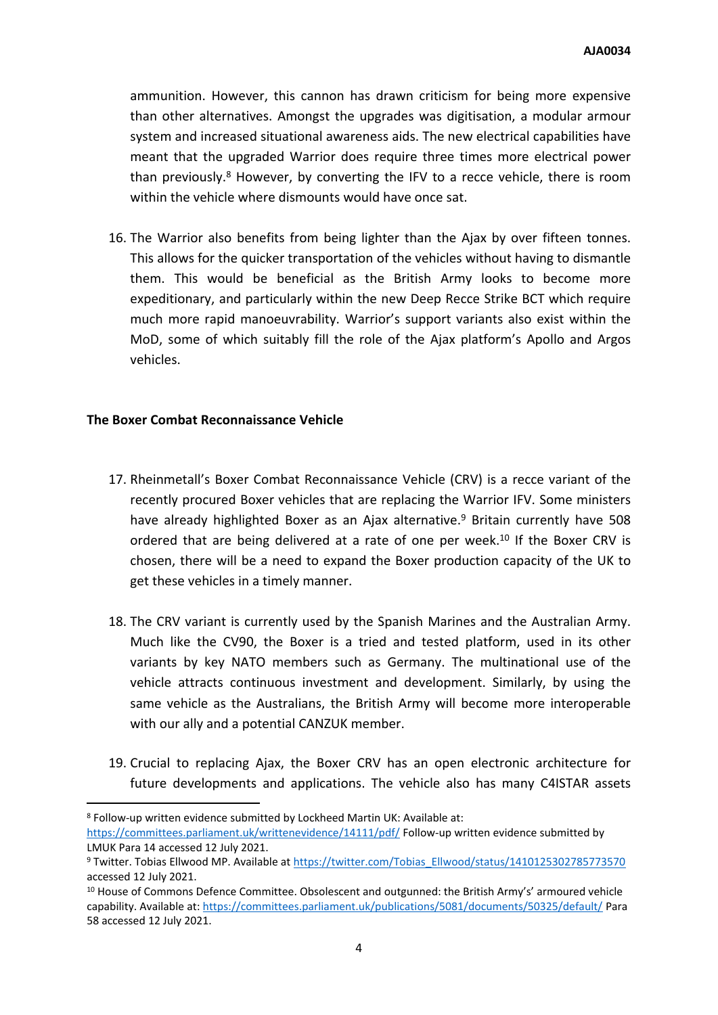ammunition. However, this cannon has drawn criticism for being more expensive than other alternatives. Amongst the upgrades was digitisation, a modular armour system and increased situational awareness aids. The new electrical capabilities have meant that the upgraded Warrior does require three times more electrical power than previously.<sup>8</sup> However, by converting the IFV to a recce vehicle, there is room within the vehicle where dismounts would have once sat.

16. The Warrior also benefits from being lighter than the Ajax by over fifteen tonnes. This allows for the quicker transportation of the vehicles without having to dismantle them. This would be beneficial as the British Army looks to become more expeditionary, and particularly within the new Deep Recce Strike BCT which require much more rapid manoeuvrability. Warrior's support variants also exist within the MoD, some of which suitably fill the role of the Ajax platform's Apollo and Argos vehicles.

#### **The Boxer Combat Reconnaissance Vehicle**

- 17. Rheinmetall's Boxer Combat Reconnaissance Vehicle (CRV) is a recce variant of the recently procured Boxer vehicles that are replacing the Warrior IFV. Some ministers have already highlighted Boxer as an Ajax alternative.<sup>9</sup> Britain currently have 508 ordered that are being delivered at a rate of one per week.<sup>10</sup> If the Boxer CRV is chosen, there will be a need to expand the Boxer production capacity of the UK to get these vehicles in a timely manner.
- 18. The CRV variant is currently used by the Spanish Marines and the Australian Army. Much like the CV90, the Boxer is a tried and tested platform, used in its other variants by key NATO members such as Germany. The multinational use of the vehicle attracts continuous investment and development. Similarly, by using the same vehicle as the Australians, the British Army will become more interoperable with our ally and a potential CANZUK member.
- 19. Crucial to replacing Ajax, the Boxer CRV has an open electronic architecture for future developments and applications. The vehicle also has many C4ISTAR assets

<sup>8</sup> Follow-up written evidence submitted by Lockheed Martin UK: Available at: <https://committees.parliament.uk/writtenevidence/14111/pdf/> Follow-up written evidence submitted by LMUK Para 14 accessed 12 July 2021.

<sup>9</sup> Twitter. Tobias Ellwood MP. Available at [https://twitter.com/Tobias\\_Ellwood/status/1410125302785773570](https://twitter.com/Tobias_Ellwood/status/1410125302785773570) accessed 12 July 2021.

<sup>&</sup>lt;sup>10</sup> House of Commons Defence Committee. Obsolescent and outgunned: the British Army's' armoured vehicle capability. Available at: <https://committees.parliament.uk/publications/5081/documents/50325/default/> Para 58 accessed 12 July 2021.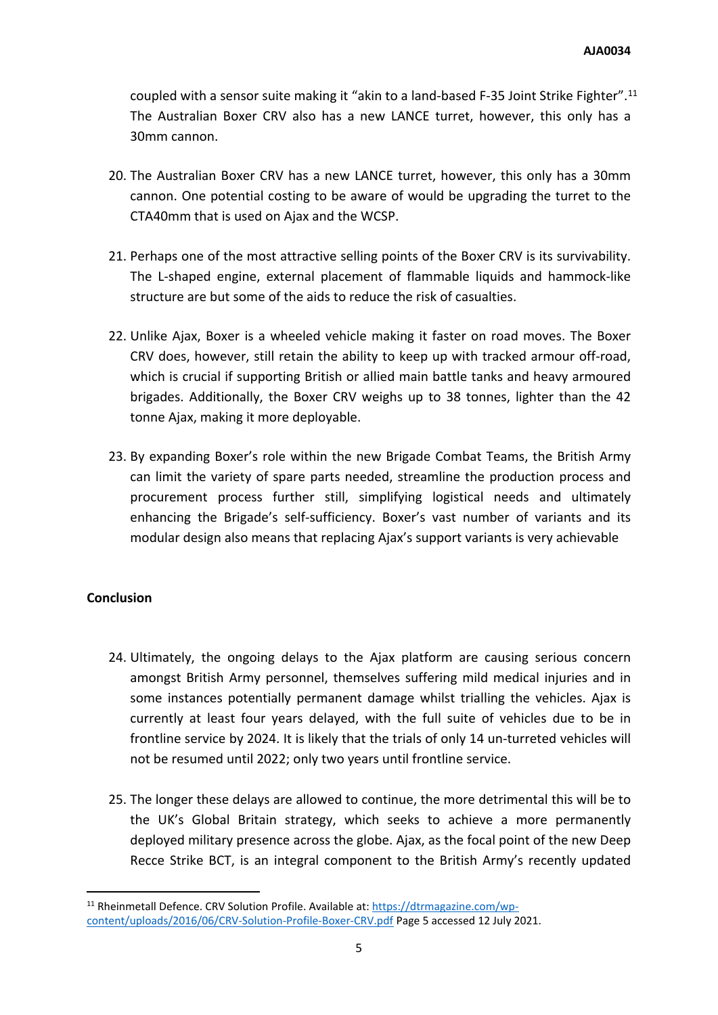coupled with a sensor suite making it "akin to a land-based F-35 Joint Strike Fighter".<sup>11</sup> The Australian Boxer CRV also has a new LANCE turret, however, this only has a 30mm cannon.

- 20. The Australian Boxer CRV has a new LANCE turret, however, this only has a 30mm cannon. One potential costing to be aware of would be upgrading the turret to the CTA40mm that is used on Ajax and the WCSP.
- 21. Perhaps one of the most attractive selling points of the Boxer CRV is its survivability. The L-shaped engine, external placement of flammable liquids and hammock-like structure are but some of the aids to reduce the risk of casualties.
- 22. Unlike Ajax, Boxer is a wheeled vehicle making it faster on road moves. The Boxer CRV does, however, still retain the ability to keep up with tracked armour off-road, which is crucial if supporting British or allied main battle tanks and heavy armoured brigades. Additionally, the Boxer CRV weighs up to 38 tonnes, lighter than the 42 tonne Ajax, making it more deployable.
- 23. By expanding Boxer's role within the new Brigade Combat Teams, the British Army can limit the variety of spare parts needed, streamline the production process and procurement process further still, simplifying logistical needs and ultimately enhancing the Brigade's self-sufficiency. Boxer's vast number of variants and its modular design also means that replacing Ajax's support variants is very achievable

## **Conclusion**

- 24. Ultimately, the ongoing delays to the Ajax platform are causing serious concern amongst British Army personnel, themselves suffering mild medical injuries and in some instances potentially permanent damage whilst trialling the vehicles. Ajax is currently at least four years delayed, with the full suite of vehicles due to be in frontline service by 2024. It is likely that the trials of only 14 un-turreted vehicles will not be resumed until 2022; only two years until frontline service.
- 25. The longer these delays are allowed to continue, the more detrimental this will be to the UK's Global Britain strategy, which seeks to achieve a more permanently deployed military presence across the globe. Ajax, as the focal point of the new Deep Recce Strike BCT, is an integral component to the British Army's recently updated

<sup>11</sup> Rheinmetall Defence. CRV Solution Profile. Available at: [https://dtrmagazine.com/wp](https://dtrmagazine.com/wp-content/uploads/2016/06/CRV-Solution-Profile-Boxer-CRV.pdf)[content/uploads/2016/06/CRV-Solution-Profile-Boxer-CRV.pdf](https://dtrmagazine.com/wp-content/uploads/2016/06/CRV-Solution-Profile-Boxer-CRV.pdf) Page 5 accessed 12 July 2021.